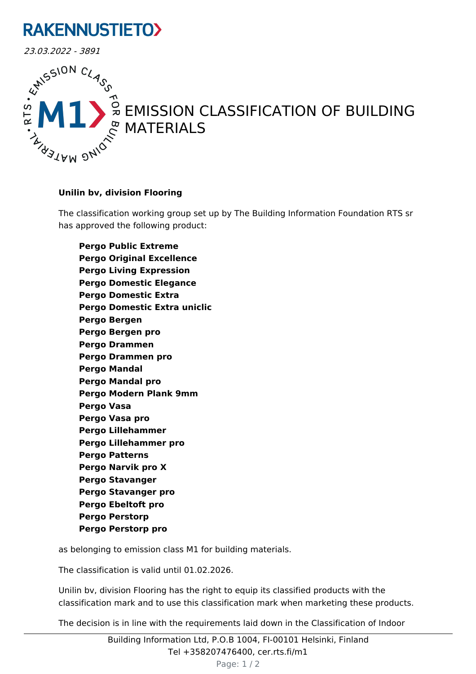## **RAKENNUSTIETO>**



## EMISSION CLASSIFICATION OF BUILDING

## **Unilin bv, division Flooring**

The classification working group set up by The Building Information Foundation RTS sr has approved the following product:

**Pergo Public Extreme Pergo Original Excellence Pergo Living Expression Pergo Domestic Elegance Pergo Domestic Extra Pergo Domestic Extra uniclic Pergo Bergen Pergo Bergen pro Pergo Drammen Pergo Drammen pro Pergo Mandal Pergo Mandal pro Pergo Modern Plank 9mm Pergo Vasa Pergo Vasa pro Pergo Lillehammer Pergo Lillehammer pro Pergo Patterns Pergo Narvik pro X Pergo Stavanger Pergo Stavanger pro Pergo Ebeltoft pro Pergo Perstorp Pergo Perstorp pro**

as belonging to emission class M1 for building materials.

The classification is valid until 01.02.2026.

Unilin bv, division Flooring has the right to equip its classified products with the classification mark and to use this classification mark when marketing these products.

The decision is in line with the requirements laid down in the Classification of Indoor